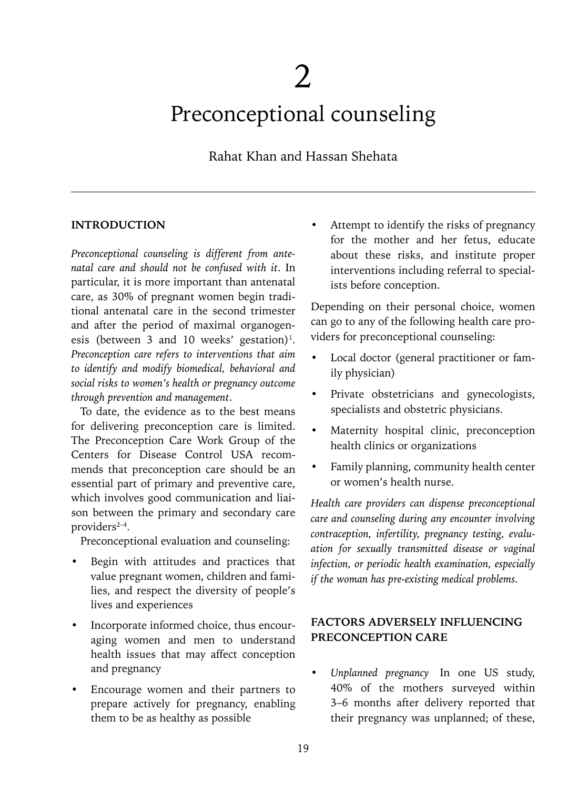# Preconceptional counseling

# Rahat Khan and Hassan Shehata

#### **INTRODUCTION**

*Preconceptional counseling is different from antenatal care and should not be confused with it*. In particular, it is more important than antenatal care, as 30% of pregnant women begin traditional antenatal care in the second trimester and after the period of maximal organogenesis (between 3 and 10 weeks' gestation)<sup>1</sup>. *Preconception care refers to interventions that aim to identify and modify biomedical, behavioral and social risks to women's health or pregnancy outcome through prevention and management*.

To date, the evidence as to the best means for delivering preconception care is limited. The Preconception Care Work Group of the Centers for Disease Control USA recommends that preconception care should be an essential part of primary and preventive care, which involves good communication and liaison between the primary and secondary care providers<sup>2-4</sup>.

Preconceptional evaluation and counseling:

- Begin with attitudes and practices that value pregnant women, children and families, and respect the diversity of people's lives and experiences
- Incorporate informed choice, thus encouraging women and men to understand health issues that may affect conception and pregnancy
- Encourage women and their partners to prepare actively for pregnancy, enabling them to be as healthy as possible

Attempt to identify the risks of pregnancy for the mother and her fetus, educate about these risks, and institute proper interventions including referral to specialists before conception.

Depending on their personal choice, women can go to any of the following health care providers for preconceptional counseling:

- Local doctor (general practitioner or family physician)
- Private obstetricians and gynecologists, specialists and obstetric physicians.
- Maternity hospital clinic, preconception health clinics or organizations
- Family planning, community health center or women's health nurse.

*Health care providers can dispense preconceptional care and counseling during any encounter involving contraception, infertility, pregnancy testing, evaluation for sexually transmitted disease or vaginal infection, or periodic health examination, especially if the woman has pre-existing medical problems.*

## **FACTORS ADVERSELY INFLUENCING PRECONCEPTION CARE**

*• Unplanned pregnancy* In one US study, 40% of the mothers surveyed within 3–6 months after delivery reported that their pregnancy was unplanned; of these,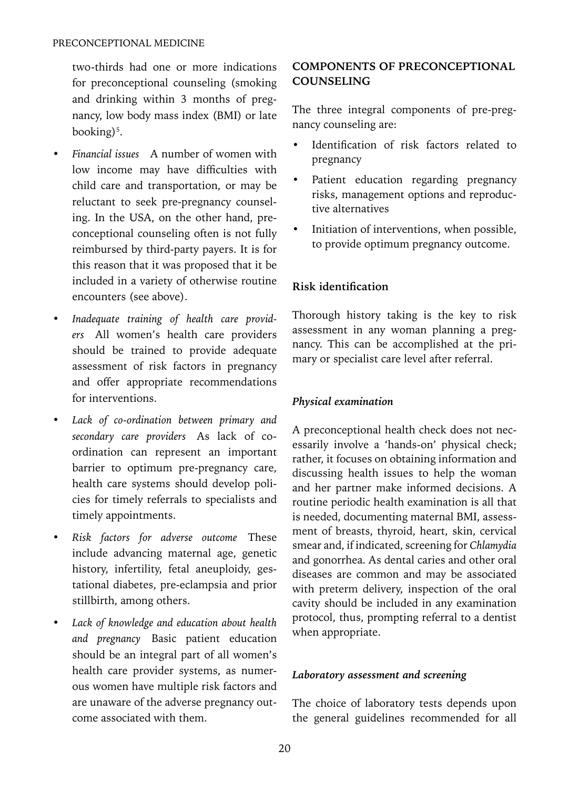two-thirds had one or more indications for preconceptional counseling (smoking and drinking within 3 months of pregnancy, low body mass index (BMI) or late booking)<sup>5</sup>.

- *• Financial issues* A number of women with low income may have difficulties with child care and transportation, or may be reluctant to seek pre-pregnancy counseling. In the USA, on the other hand, preconceptional counseling often is not fully reimbursed by third-party payers. It is for this reason that it was proposed that it be included in a variety of otherwise routine encounters (see above).
- *• Inadequate training of health care providers* All women's health care providers should be trained to provide adequate assessment of risk factors in pregnancy and offer appropriate recommendations for interventions.
- *• Lack of co-ordination between primary and secondary care providers* As lack of coordination can represent an important barrier to optimum pre-pregnancy care, health care systems should develop policies for timely referrals to specialists and timely appointments.
- *• Risk factors for adverse outcome* These include advancing maternal age, genetic history, infertility, fetal aneuploidy, gestational diabetes, pre-eclampsia and prior stillbirth, among others.
- *• Lack of knowledge and education about health and pregnancy* Basic patient education should be an integral part of all women's health care provider systems, as numerous women have multiple risk factors and are unaware of the adverse pregnancy outcome associated with them.

# **COMPONENTS OF PRECONCEPTIONAL COUNSELING**

The three integral components of pre-pregnancy counseling are:

- Identification of risk factors related to pregnancy
- Patient education regarding pregnancy risks, management options and reproductive alternatives
- Initiation of interventions, when possible, to provide optimum pregnancy outcome.

## **Risk identification**

Thorough history taking is the key to risk assessment in any woman planning a pregnancy. This can be accomplished at the primary or specialist care level after referral.

## *Physical examination*

A preconceptional health check does not necessarily involve a 'hands-on' physical check; rather, it focuses on obtaining information and discussing health issues to help the woman and her partner make informed decisions. A routine periodic health examination is all that is needed, documenting maternal BMI, assessment of breasts, thyroid, heart, skin, cervical smear and, if indicated, screening for *Chlamydia* and gonorrhea. As dental caries and other oral diseases are common and may be associated with preterm delivery, inspection of the oral cavity should be included in any examination protocol, thus, prompting referral to a dentist when appropriate.

#### *Laboratory assessment and screening*

The choice of laboratory tests depends upon the general guidelines recommended for all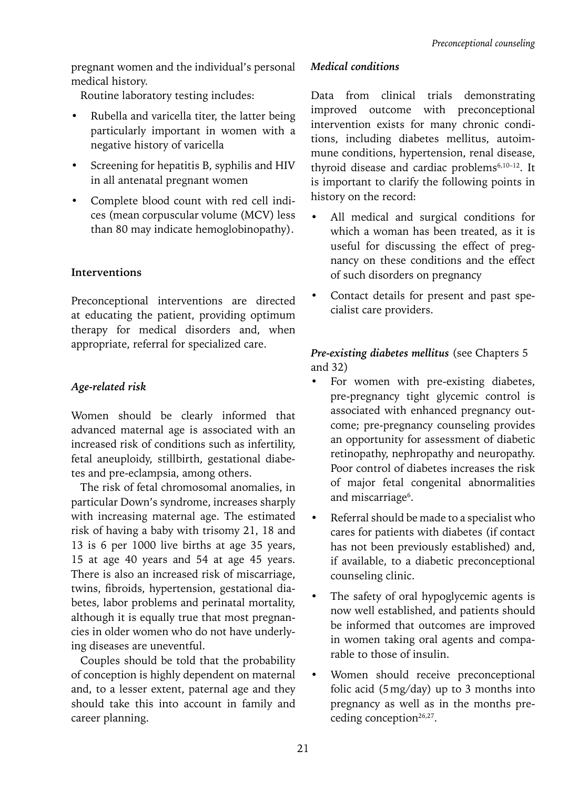pregnant women and the individual's personal medical history.

Routine laboratory testing includes:

- Rubella and varicella titer, the latter being particularly important in women with a negative history of varicella
- Screening for hepatitis B, syphilis and HIV in all antenatal pregnant women
- Complete blood count with red cell indices (mean corpuscular volume (MCV) less than 80 may indicate hemoglobinopathy).

## **Interventions**

Preconceptional interventions are directed at educating the patient, providing optimum therapy for medical disorders and, when appropriate, referral for specialized care.

# *Age-related risk*

Women should be clearly informed that advanced maternal age is associated with an increased risk of conditions such as infertility, fetal aneuploidy, stillbirth, gestational diabetes and pre-eclampsia, among others.

The risk of fetal chromosomal anomalies, in particular Down's syndrome, increases sharply with increasing maternal age. The estimated risk of having a baby with trisomy 21, 18 and 13 is 6 per 1000 live births at age 35 years, 15 at age 40 years and 54 at age 45 years. There is also an increased risk of miscarriage, twins, fibroids, hypertension, gestational diabetes, labor problems and perinatal mortality, although it is equally true that most pregnancies in older women who do not have underlying diseases are uneventful.

Couples should be told that the probability of conception is highly dependent on maternal and, to a lesser extent, paternal age and they should take this into account in family and career planning.

## *Medical conditions*

Data from clinical trials demonstrating improved outcome with preconceptional intervention exists for many chronic conditions, including diabetes mellitus, autoimmune conditions, hypertension, renal disease, thyroid disease and cardiac problems<sup>6,10-12</sup>. It is important to clarify the following points in history on the record:

- All medical and surgical conditions for which a woman has been treated, as it is useful for discussing the effect of pregnancy on these conditions and the effect of such disorders on pregnancy
- Contact details for present and past specialist care providers.

# *Pre-existing diabetes mellitus* (see Chapters 5 and 32)

- For women with pre-existing diabetes, pre-pregnancy tight glycemic control is associated with enhanced pregnancy outcome; pre-pregnancy counseling provides an opportunity for assessment of diabetic retinopathy, nephropathy and neuropathy. Poor control of diabetes increases the risk of major fetal congenital abnormalities and miscarriage<sup>6</sup>.
- Referral should be made to a specialist who cares for patients with diabetes (if contact has not been previously established) and, if available, to a diabetic preconceptional counseling clinic.
- The safety of oral hypoglycemic agents is now well established, and patients should be informed that outcomes are improved in women taking oral agents and comparable to those of insulin.
- Women should receive preconceptional folic acid (5mg/day) up to 3 months into pregnancy as well as in the months preceding conception $26,27$ .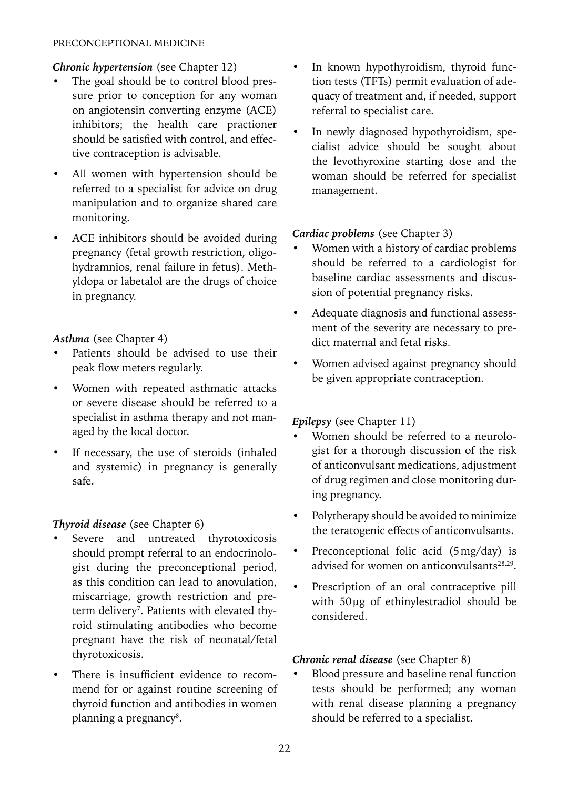#### PRECONCEPTIONAL MEDICINE

#### *Chronic hypertension* (see Chapter 12)

- The goal should be to control blood pressure prior to conception for any woman on angiotensin converting enzyme (ACE) inhibitors; the health care practioner should be satisfied with control, and effective contraception is advisable.
- All women with hypertension should be referred to a specialist for advice on drug manipulation and to organize shared care monitoring.
- ACE inhibitors should be avoided during pregnancy (fetal growth restriction, oligohydramnios, renal failure in fetus). Methyldopa or labetalol are the drugs of choice in pregnancy.

#### *Asthma* (see Chapter 4)

- Patients should be advised to use their peak flow meters regularly.
- Women with repeated asthmatic attacks or severe disease should be referred to a specialist in asthma therapy and not managed by the local doctor.
- If necessary, the use of steroids (inhaled and systemic) in pregnancy is generally safe.

## *Thyroid disease* (see Chapter 6)

- Severe and untreated thyrotoxicosis should prompt referral to an endocrinologist during the preconceptional period, as this condition can lead to anovulation, miscarriage, growth restriction and preterm delivery<sup>7</sup>. Patients with elevated thyroid stimulating antibodies who become pregnant have the risk of neonatal/fetal thyrotoxicosis.
- There is insufficient evidence to recommend for or against routine screening of thyroid function and antibodies in women planning a pregnancy<sup>8</sup>.
- In known hypothyroidism, thyroid function tests (TFTs) permit evaluation of adequacy of treatment and, if needed, support referral to specialist care.
- In newly diagnosed hypothyroidism, specialist advice should be sought about the levothyroxine starting dose and the woman should be referred for specialist management.

#### *Cardiac problems* (see Chapter 3)

- Women with a history of cardiac problems should be referred to a cardiologist for baseline cardiac assessments and discussion of potential pregnancy risks.
- Adequate diagnosis and functional assessment of the severity are necessary to predict maternal and fetal risks.
- Women advised against pregnancy should be given appropriate contraception.

#### *Epilepsy* (see Chapter 11)

- Women should be referred to a neurologist for a thorough discussion of the risk of anticonvulsant medications, adjustment of drug regimen and close monitoring during pregnancy.
- Polytherapy should be avoided to minimize the teratogenic effects of anticonvulsants.
- Preconceptional folic acid (5mg/day) is advised for women on anticonvulsants<sup>28,29</sup>.
- Prescription of an oral contraceptive pill with 50μg of ethinylestradiol should be considered.

#### *Chronic renal disease* (see Chapter 8)

• Blood pressure and baseline renal function tests should be performed; any woman with renal disease planning a pregnancy should be referred to a specialist.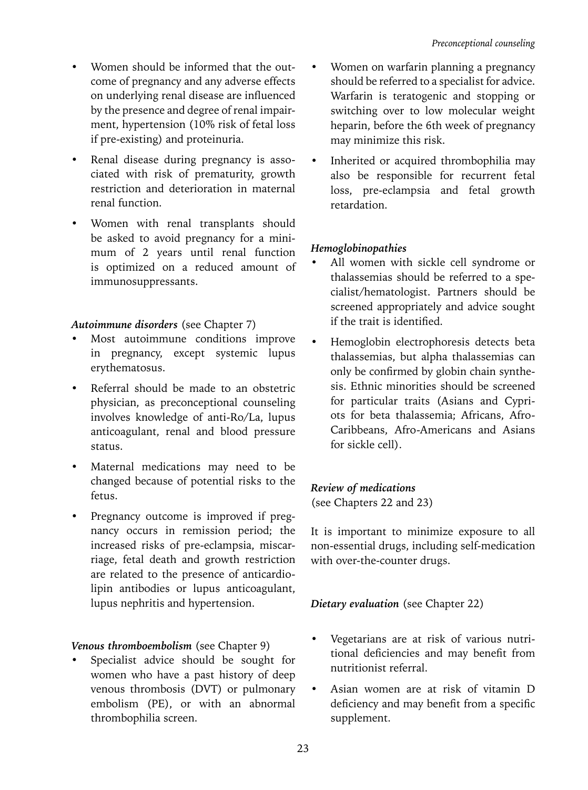- Women should be informed that the outcome of pregnancy and any adverse effects on underlying renal disease are influenced by the presence and degree of renal impairment, hypertension (10% risk of fetal loss if pre-existing) and proteinuria.
- Renal disease during pregnancy is associated with risk of prematurity, growth restriction and deterioration in maternal renal function.
- Women with renal transplants should be asked to avoid pregnancy for a minimum of 2 years until renal function is optimized on a reduced amount of immunosuppressants.

## *Autoimmune disorders* (see Chapter 7)

- Most autoimmune conditions improve in pregnancy, except systemic lupus erythematosus.
- Referral should be made to an obstetric physician, as preconceptional counseling involves knowledge of anti-Ro/La, lupus anticoagulant, renal and blood pressure status.
- Maternal medications may need to be changed because of potential risks to the fetus.
- Pregnancy outcome is improved if pregnancy occurs in remission period; the increased risks of pre-eclampsia, miscarriage, fetal death and growth restriction are related to the presence of anticardiolipin antibodies or lupus anticoagulant, lupus nephritis and hypertension.

## *Venous thromboembolism* (see Chapter 9)

Specialist advice should be sought for women who have a past history of deep venous thrombosis (DVT) or pulmonary embolism (PE), or with an abnormal thrombophilia screen.

- Women on warfarin planning a pregnancy should be referred to a specialist for advice. Warfarin is teratogenic and stopping or switching over to low molecular weight heparin, before the 6th week of pregnancy may minimize this risk.
- Inherited or acquired thrombophilia may also be responsible for recurrent fetal loss, pre-eclampsia and fetal growth retardation.

## *Hemoglobinopathies*

- All women with sickle cell syndrome or thalassemias should be referred to a specialist/hematologist. Partners should be screened appropriately and advice sought if the trait is identified.
- Hemoglobin electrophoresis detects beta thalassemias, but alpha thalassemias can only be confirmed by globin chain synthesis. Ethnic minorities should be screened for particular traits (Asians and Cypriots for beta thalassemia; Africans, Afro-Caribbeans, Afro-Americans and Asians for sickle cell).

## *Review of medications*

(see Chapters 22 and 23)

It is important to minimize exposure to all non-essential drugs, including self-medication with over-the-counter drugs.

## *Dietary evaluation* (see Chapter 22)

- Vegetarians are at risk of various nutritional deficiencies and may benefit from nutritionist referral.
- Asian women are at risk of vitamin D deficiency and may benefit from a specific supplement.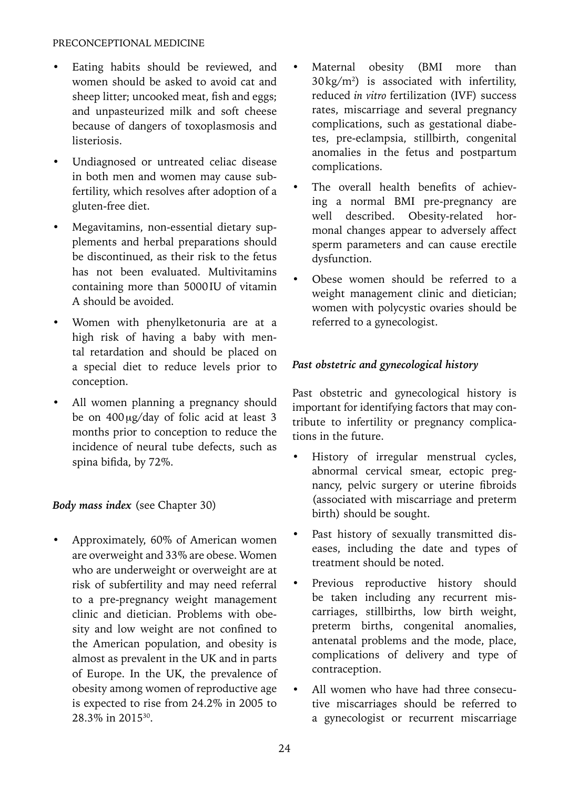#### PRECONCEPTIONAL MEDICINE

- Eating habits should be reviewed, and women should be asked to avoid cat and sheep litter; uncooked meat, fish and eggs; and unpasteurized milk and soft cheese because of dangers of toxoplasmosis and listeriosis.
- Undiagnosed or untreated celiac disease in both men and women may cause subfertility, which resolves after adoption of a gluten-free diet.
- Megavitamins, non-essential dietary supplements and herbal preparations should be discontinued, as their risk to the fetus has not been evaluated. Multivitamins containing more than 5000IU of vitamin A should be avoided.
- Women with phenylketonuria are at a high risk of having a baby with mental retardation and should be placed on a special diet to reduce levels prior to conception.
- All women planning a pregnancy should be on 400μg/day of folic acid at least 3 months prior to conception to reduce the incidence of neural tube defects, such as spina bifida, by 72%.

## *Body mass index* (see Chapter 30)

• Approximately, 60% of American women are overweight and 33% are obese. Women who are underweight or overweight are at risk of subfertility and may need referral to a pre-pregnancy weight management clinic and dietician. Problems with obesity and low weight are not confined to the American population, and obesity is almost as prevalent in the UK and in parts of Europe. In the UK, the prevalence of obesity among women of reproductive age is expected to rise from 24.2% in 2005 to 28.3% in 201530.

- Maternal obesity (BMI more than  $30 \,\mathrm{kg/m^2}$ ) is associated with infertility, reduced *in vitro* fertilization (IVF) success rates, miscarriage and several pregnancy complications, such as gestational diabetes, pre-eclampsia, stillbirth, congenital anomalies in the fetus and postpartum complications.
- The overall health benefits of achieving a normal BMI pre-pregnancy are well described. Obesity-related hormonal changes appear to adversely affect sperm parameters and can cause erectile dysfunction.
- Obese women should be referred to a weight management clinic and dietician; women with polycystic ovaries should be referred to a gynecologist.

#### *Past obstetric and gynecological history*

Past obstetric and gynecological history is important for identifying factors that may contribute to infertility or pregnancy complications in the future.

- History of irregular menstrual cycles, abnormal cervical smear, ectopic pregnancy, pelvic surgery or uterine fibroids (associated with miscarriage and preterm birth) should be sought.
- Past history of sexually transmitted diseases, including the date and types of treatment should be noted.
- Previous reproductive history should be taken including any recurrent miscarriages, stillbirths, low birth weight, preterm births, congenital anomalies, antenatal problems and the mode, place, complications of delivery and type of contraception.
- All women who have had three consecutive miscarriages should be referred to a gynecologist or recurrent miscarriage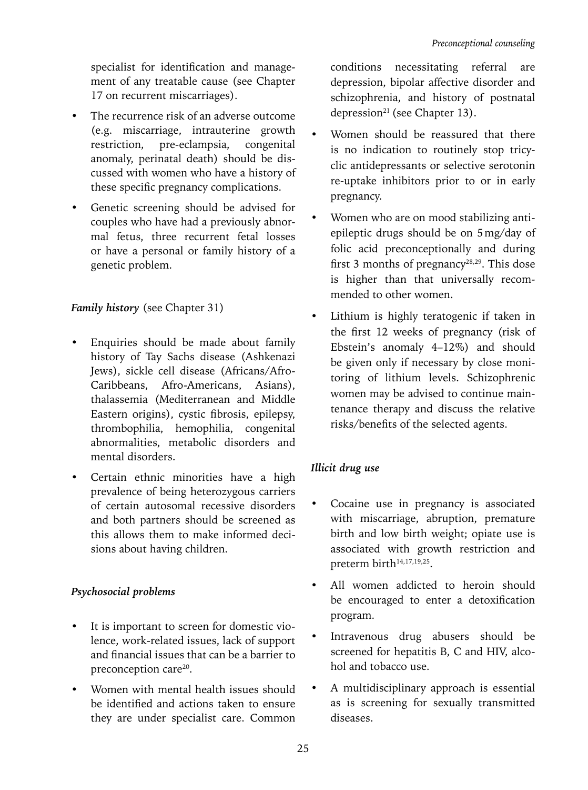specialist for identification and management of any treatable cause (see Chapter 17 on recurrent miscarriages).

- The recurrence risk of an adverse outcome (e.g. miscarriage, intrauterine growth restriction, pre-eclampsia, congenital anomaly, perinatal death) should be discussed with women who have a history of these specific pregnancy complications.
- Genetic screening should be advised for couples who have had a previously abnormal fetus, three recurrent fetal losses or have a personal or family history of a genetic problem.

# *Family history* (see Chapter 31)

- Enquiries should be made about family history of Tay Sachs disease (Ashkenazi Jews), sickle cell disease (Africans/Afro-Caribbeans, Afro-Americans, Asians), thalassemia (Mediterranean and Middle Eastern origins), cystic fibrosis, epilepsy, thrombophilia, hemophilia, congenital abnormalities, metabolic disorders and mental disorders.
- Certain ethnic minorities have a high prevalence of being heterozygous carriers of certain autosomal recessive disorders and both partners should be screened as this allows them to make informed decisions about having children.

# *Psychosocial problems*

- It is important to screen for domestic violence, work-related issues, lack of support and financial issues that can be a barrier to preconception care<sup>20</sup>.
- Women with mental health issues should be identified and actions taken to ensure they are under specialist care. Common

conditions necessitating referral are depression, bipolar affective disorder and schizophrenia, and history of postnatal depression<sup>21</sup> (see Chapter 13).

- Women should be reassured that there is no indication to routinely stop tricyclic antidepressants or selective serotonin re-uptake inhibitors prior to or in early pregnancy.
- Women who are on mood stabilizing antiepileptic drugs should be on 5mg/day of folic acid preconceptionally and during first 3 months of pregnancy<sup>28,29</sup>. This dose is higher than that universally recommended to other women.
- Lithium is highly teratogenic if taken in the first 12 weeks of pregnancy (risk of Ebstein's anomaly 4–12%) and should be given only if necessary by close monitoring of lithium levels. Schizophrenic women may be advised to continue maintenance therapy and discuss the relative risks/benefits of the selected agents.

# *Illicit drug use*

- Cocaine use in pregnancy is associated with miscarriage, abruption, premature birth and low birth weight; opiate use is associated with growth restriction and preterm birth<sup>14,17,19,25</sup>.
- All women addicted to heroin should be encouraged to enter a detoxification program.
- Intravenous drug abusers should be screened for hepatitis B, C and HIV, alcohol and tobacco use.
- A multidisciplinary approach is essential as is screening for sexually transmitted diseases.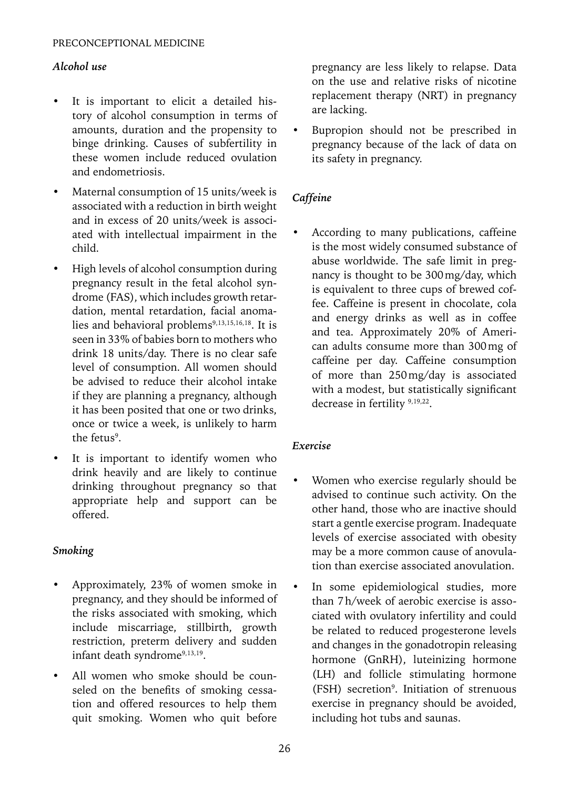## *Alcohol use*

- It is important to elicit a detailed history of alcohol consumption in terms of amounts, duration and the propensity to binge drinking. Causes of subfertility in these women include reduced ovulation and endometriosis.
- Maternal consumption of 15 units/week is associated with a reduction in birth weight and in excess of 20 units/week is associated with intellectual impairment in the child.
- High levels of alcohol consumption during pregnancy result in the fetal alcohol syndrome (FAS), which includes growth retardation, mental retardation, facial anomalies and behavioral problems<sup>9,13,15,16,18</sup>. It is seen in 33% of babies born to mothers who drink 18 units/day. There is no clear safe level of consumption. All women should be advised to reduce their alcohol intake if they are planning a pregnancy, although it has been posited that one or two drinks, once or twice a week, is unlikely to harm the fetus<sup>9</sup>.
- It is important to identify women who drink heavily and are likely to continue drinking throughout pregnancy so that appropriate help and support can be offered.

#### *Smoking*

- Approximately, 23% of women smoke in pregnancy, and they should be informed of the risks associated with smoking, which include miscarriage, stillbirth, growth restriction, preterm delivery and sudden infant death syndrome9,13,19.
- All women who smoke should be counseled on the benefits of smoking cessation and offered resources to help them quit smoking. Women who quit before

pregnancy are less likely to relapse. Data on the use and relative risks of nicotine replacement therapy (NRT) in pregnancy are lacking.

• Bupropion should not be prescribed in pregnancy because of the lack of data on its safety in pregnancy.

# *Caffeine*

• According to many publications, caffeine is the most widely consumed substance of abuse worldwide. The safe limit in pregnancy is thought to be 300mg/day, which is equivalent to three cups of brewed coffee. Caffeine is present in chocolate, cola and energy drinks as well as in coffee and tea. Approximately 20% of American adults consume more than 300mg of caffeine per day. Caffeine consumption of more than 250mg/day is associated with a modest, but statistically significant decrease in fertility 9,19,22.

## *Exercise*

- Women who exercise regularly should be advised to continue such activity. On the other hand, those who are inactive should start a gentle exercise program. Inadequate levels of exercise associated with obesity may be a more common cause of anovulation than exercise associated anovulation.
- In some epidemiological studies, more than 7h/week of aerobic exercise is associated with ovulatory infertility and could be related to reduced progesterone levels and changes in the gonadotropin releasing hormone (GnRH), luteinizing hormone (LH) and follicle stimulating hormone (FSH) secretion9 . Initiation of strenuous exercise in pregnancy should be avoided, including hot tubs and saunas.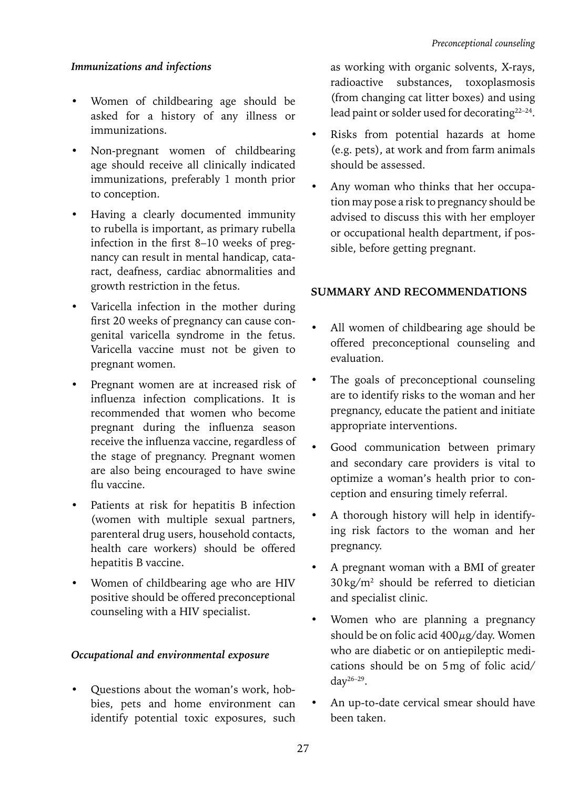## *Immunizations and infections*

- Women of childbearing age should be asked for a history of any illness or immunizations.
- Non-pregnant women of childbearing age should receive all clinically indicated immunizations, preferably 1 month prior to conception.
- Having a clearly documented immunity to rubella is important, as primary rubella infection in the first 8–10 weeks of pregnancy can result in mental handicap, cataract, deafness, cardiac abnormalities and growth restriction in the fetus.
- Varicella infection in the mother during first 20 weeks of pregnancy can cause congenital varicella syndrome in the fetus. Varicella vaccine must not be given to pregnant women.
- Pregnant women are at increased risk of influenza infection complications. It is recommended that women who become pregnant during the influenza season receive the influenza vaccine, regardless of the stage of pregnancy. Pregnant women are also being encouraged to have swine flu vaccine.
- Patients at risk for hepatitis B infection (women with multiple sexual partners, parenteral drug users, household contacts, health care workers) should be offered hepatitis B vaccine.
- Women of childbearing age who are HIV positive should be offered preconceptional counseling with a HIV specialist.

#### *Occupational and environmental exposure*

• Questions about the woman's work, hobbies, pets and home environment can identify potential toxic exposures, such

as working with organic solvents, X-rays, radioactive substances, toxoplasmosis (from changing cat litter boxes) and using lead paint or solder used for decorating<sup>22-24</sup>.

- Risks from potential hazards at home (e.g. pets), at work and from farm animals should be assessed.
- Any woman who thinks that her occupation may pose a risk to pregnancy should be advised to discuss this with her employer or occupational health department, if possible, before getting pregnant.

## **SUMMARY AND RECOMMENDATIONS**

- All women of childbearing age should be offered preconceptional counseling and evaluation.
- The goals of preconceptional counseling are to identify risks to the woman and her pregnancy, educate the patient and initiate appropriate interventions.
- Good communication between primary and secondary care providers is vital to optimize a woman's health prior to conception and ensuring timely referral.
- A thorough history will help in identifying risk factors to the woman and her pregnancy.
- A pregnant woman with a BMI of greater 30kg/m2 should be referred to dietician and specialist clinic.
- Women who are planning a pregnancy should be on folic acid  $400 \mu g/day$ . Women who are diabetic or on antiepileptic medications should be on 5mg of folic acid/ day26–29.
- An up-to-date cervical smear should have been taken.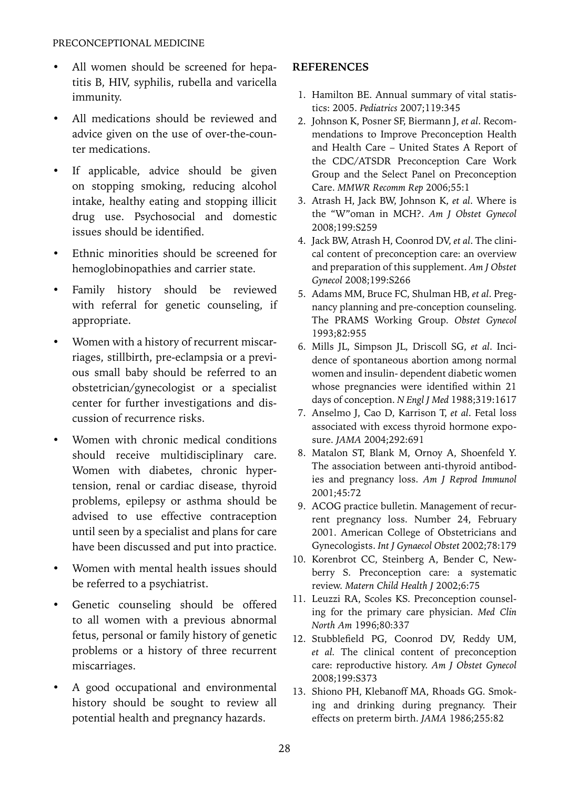- All women should be screened for hepatitis B, HIV, syphilis, rubella and varicella immunity.
- All medications should be reviewed and advice given on the use of over-the-counter medications.
- If applicable, advice should be given on stopping smoking, reducing alcohol intake, healthy eating and stopping illicit drug use. Psychosocial and domestic issues should be identified.
- Ethnic minorities should be screened for hemoglobinopathies and carrier state.
- Family history should be reviewed with referral for genetic counseling, if appropriate.
- Women with a history of recurrent miscarriages, stillbirth, pre-eclampsia or a previous small baby should be referred to an obstetrician/gynecologist or a specialist center for further investigations and discussion of recurrence risks.
- Women with chronic medical conditions should receive multidisciplinary care. Women with diabetes, chronic hypertension, renal or cardiac disease, thyroid problems, epilepsy or asthma should be advised to use effective contraception until seen by a specialist and plans for care have been discussed and put into practice.
- Women with mental health issues should be referred to a psychiatrist.
- Genetic counseling should be offered to all women with a previous abnormal fetus, personal or family history of genetic problems or a history of three recurrent miscarriages.
- A good occupational and environmental history should be sought to review all potential health and pregnancy hazards.

## **References**

- 1. Hamilton BE. Annual summary of vital statistics: 2005. *Pediatrics* 2007;119:345
- 2. Johnson K, Posner SF, Biermann J, *et al*. Recommendations to Improve Preconception Health and Health Care – United States A Report of the CDC/ATSDR Preconception Care Work Group and the Select Panel on Preconception Care. *MMWR Recomm Rep* 2006;55:1
- 3. Atrash H, Jack BW, Johnson K, *et al*. Where is the "W"oman in MCH?. *Am J Obstet Gynecol* 2008;199:S259
- 4. Jack BW, Atrash H, Coonrod DV, *et al*. The clinical content of preconception care: an overview and preparation of this supplement. *Am J Obstet Gynecol* 2008;199:S266
- 5. Adams MM, Bruce FC, Shulman HB, *et al*. Pregnancy planning and pre-conception counseling. The PRAMS Working Group. *Obstet Gynecol* 1993;82:955
- 6. Mills JL, Simpson JL, Driscoll SG, *et al*. Incidence of spontaneous abortion among normal women and insulin- dependent diabetic women whose pregnancies were identified within 21 days of conception. *N Engl J Med* 1988;319:1617
- 7. Anselmo J, Cao D, Karrison T, *et al*. Fetal loss associated with excess thyroid hormone exposure. *JAMA* 2004;292:691
- 8. Matalon ST, Blank M, Ornoy A, Shoenfeld Y. The association between anti-thyroid antibodies and pregnancy loss. *Am J Reprod Immunol* 2001;45:72
- 9. ACOG practice bulletin. Management of recurrent pregnancy loss. Number 24, February 2001. American College of Obstetricians and Gynecologists. *Int J Gynaecol Obstet* 2002;78:179
- 10. Korenbrot CC, Steinberg A, Bender C, Newberry S. Preconception care: a systematic review. *Matern Child Health J* 2002;6:75
- 11. Leuzzi RA, Scoles KS. Preconception counseling for the primary care physician. *Med Clin North Am* 1996;80:337
- 12. Stubblefield PG, Coonrod DV, Reddy UM, *et al.* The clinical content of preconception care: reproductive history. *Am J Obstet Gynecol* 2008;199:S373
- 13. Shiono PH, Klebanoff MA, Rhoads GG. Smoking and drinking during pregnancy. Their effects on preterm birth. *JAMA* 1986;255:82